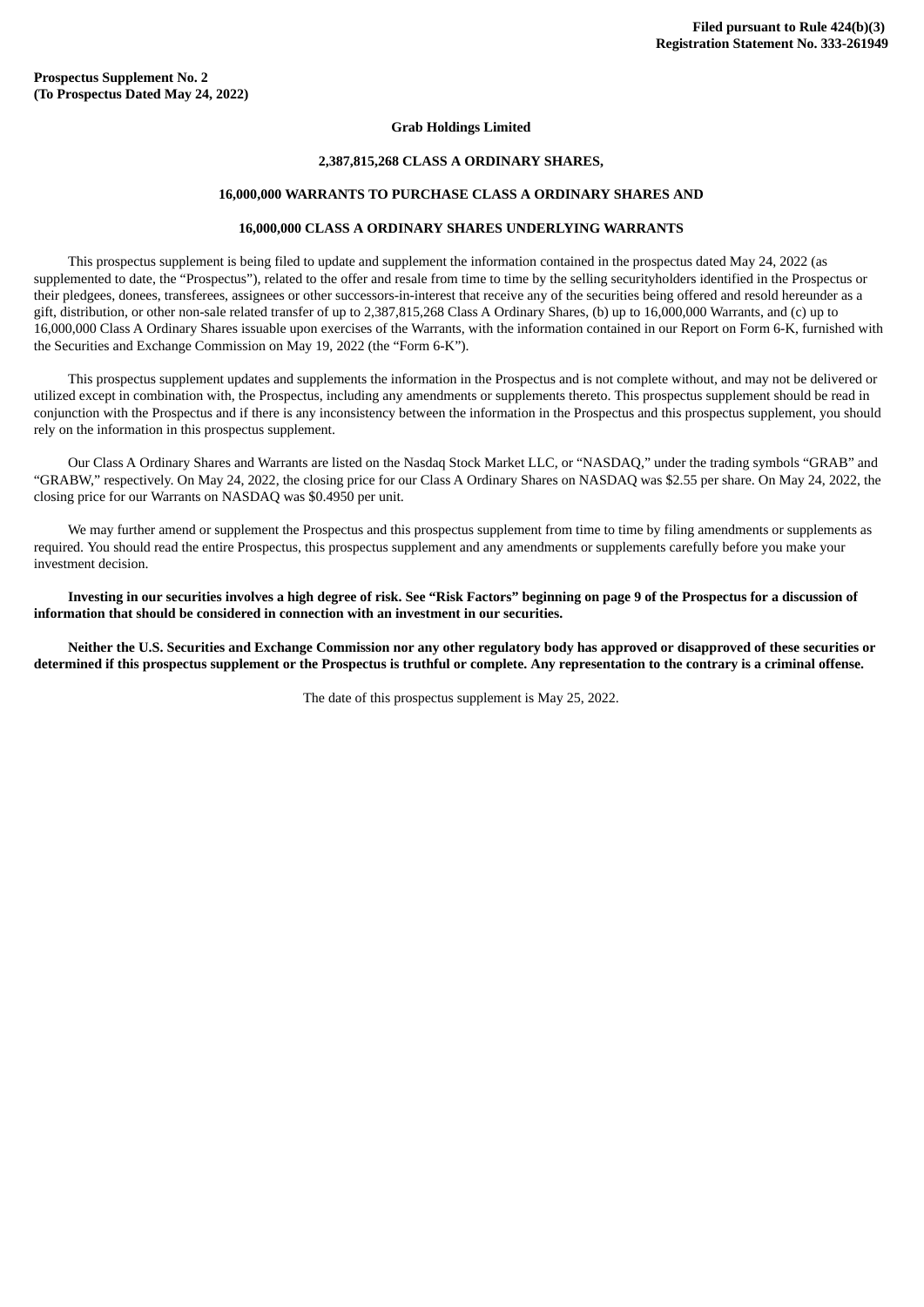#### **Grab Holdings Limited**

# **2,387,815,268 CLASS A ORDINARY SHARES,**

#### **16,000,000 WARRANTS TO PURCHASE CLASS A ORDINARY SHARES AND**

### **16,000,000 CLASS A ORDINARY SHARES UNDERLYING WARRANTS**

This prospectus supplement is being filed to update and supplement the information contained in the prospectus dated May 24, 2022 (as supplemented to date, the "Prospectus"), related to the offer and resale from time to time by the selling securityholders identified in the Prospectus or their pledgees, donees, transferees, assignees or other successors-in-interest that receive any of the securities being offered and resold hereunder as a gift, distribution, or other non-sale related transfer of up to 2,387,815,268 Class A Ordinary Shares, (b) up to 16,000,000 Warrants, and (c) up to 16,000,000 Class A Ordinary Shares issuable upon exercises of the Warrants, with the information contained in our Report on Form 6-K, furnished with the Securities and Exchange Commission on May 19, 2022 (the "Form 6-K").

This prospectus supplement updates and supplements the information in the Prospectus and is not complete without, and may not be delivered or utilized except in combination with, the Prospectus, including any amendments or supplements thereto. This prospectus supplement should be read in conjunction with the Prospectus and if there is any inconsistency between the information in the Prospectus and this prospectus supplement, you should rely on the information in this prospectus supplement.

Our Class A Ordinary Shares and Warrants are listed on the Nasdaq Stock Market LLC, or "NASDAQ," under the trading symbols "GRAB" and "GRABW," respectively. On May 24, 2022, the closing price for our Class A Ordinary Shares on NASDAQ was \$2.55 per share. On May 24, 2022, the closing price for our Warrants on NASDAQ was \$0.4950 per unit.

We may further amend or supplement the Prospectus and this prospectus supplement from time to time by filing amendments or supplements as required. You should read the entire Prospectus, this prospectus supplement and any amendments or supplements carefully before you make your investment decision.

Investing in our securities involves a high degree of risk. See "Risk Factors" beginning on page 9 of the Prospectus for a discussion of **information that should be considered in connection with an investment in our securities.**

Neither the U.S. Securities and Exchange Commission nor any other regulatory body has approved or disapproved of these securities or determined if this prospectus supplement or the Prospectus is truthful or complete. Any representation to the contrary is a criminal offense.

The date of this prospectus supplement is May 25, 2022.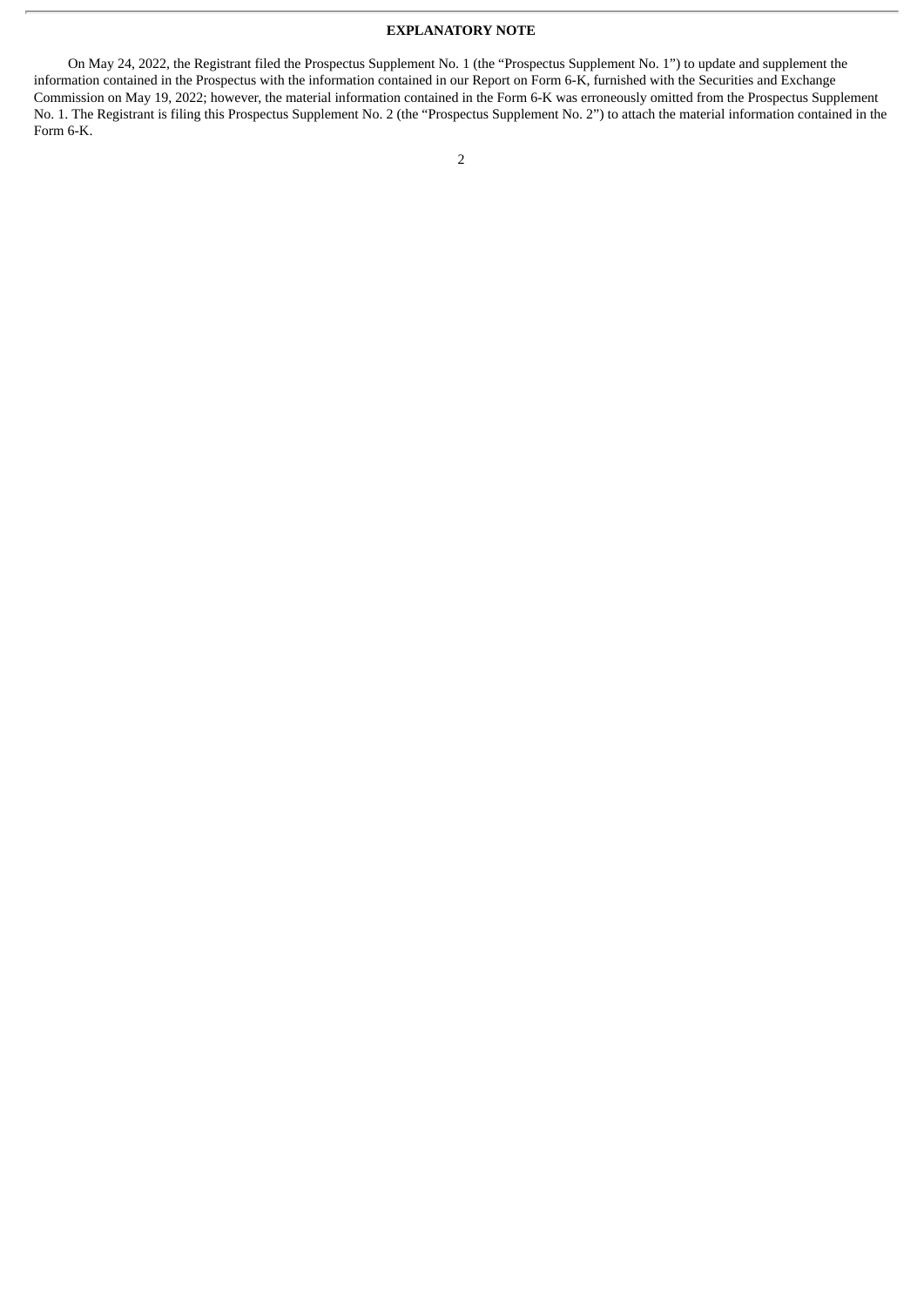## **EXPLANATORY NOTE**

On May 24, 2022, the Registrant filed the Prospectus Supplement No. 1 (the "Prospectus Supplement No. 1") to update and supplement the information contained in the Prospectus with the information contained in our Report on Form 6-K, furnished with the Securities and Exchange Commission on May 19, 2022; however, the material information contained in the Form 6-K was erroneously omitted from the Prospectus Supplement No. 1. The Registrant is filing this Prospectus Supplement No. 2 (the "Prospectus Supplement No. 2") to attach the material information contained in the Form 6-K.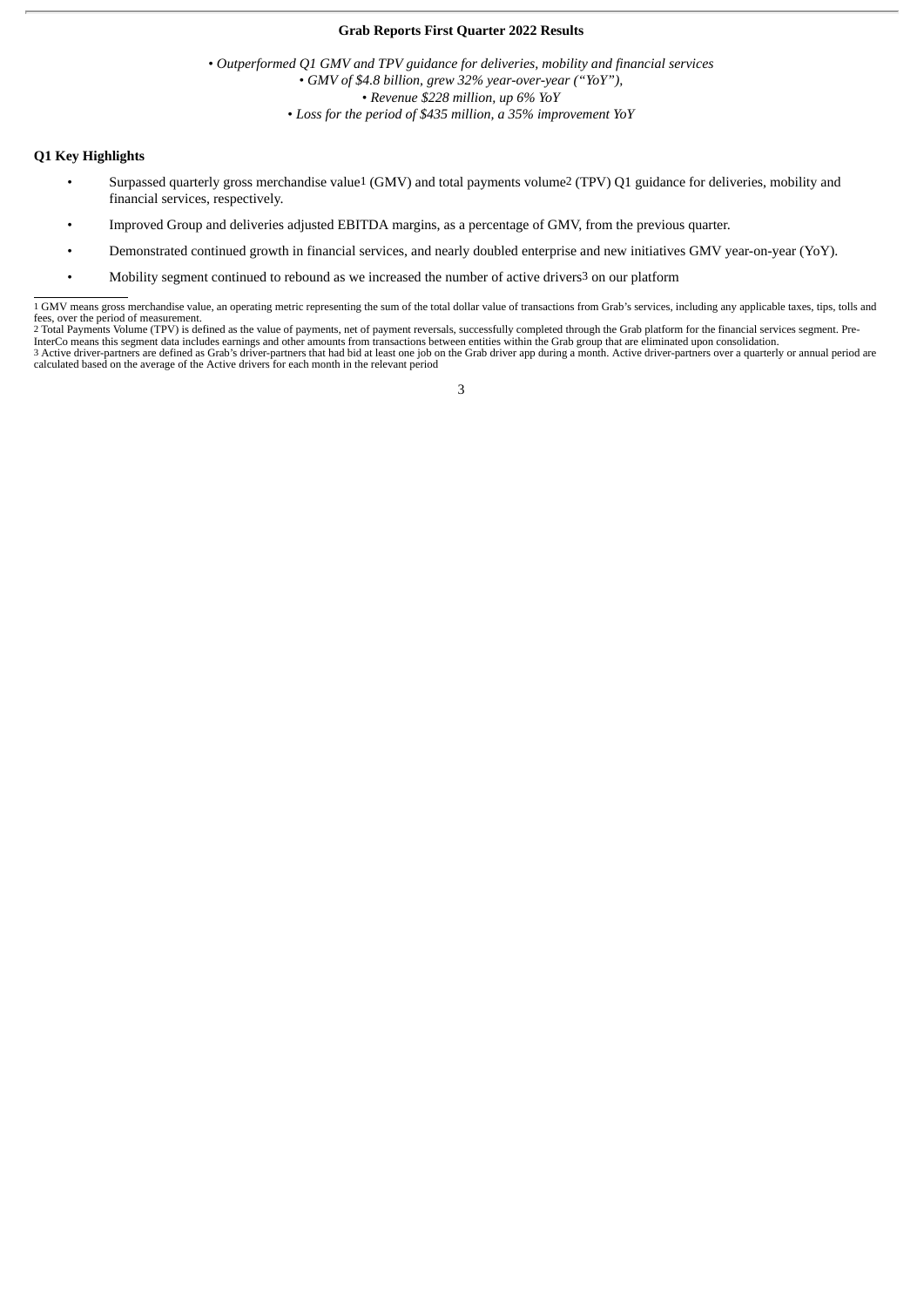#### **Grab Reports First Quarter 2022 Results**

• *Outperformed Q1 GMV and TPV guidance for deliveries, mobility and financial services* • *GMV of \$4.8 billion, grew 32% year-over-year ("YoY"),* • *Revenue \$228 million, up 6% YoY* • *Loss for the period of \$435 million, a 35% improvement YoY*

#### **Q1 Key Highlights**

- Surpassed quarterly gross merchandise value1 (GMV) and total payments volume2 (TPV) Q1 guidance for deliveries, mobility and financial services, respectively.
- Improved Group and deliveries adjusted EBITDA margins, as a percentage of GMV, from the previous quarter.
- Demonstrated continued growth in financial services, and nearly doubled enterprise and new initiatives GMV year-on-year (YoY).
- Mobility segment continued to rebound as we increased the number of active drivers3 on our platform

<sup>1</sup> GMV means gross merchandise value, an operating metric representing the sum of the total dollar value of transactions from Grab's services, including any applicable taxes, tips, tolls and fees, over the period of measurement.

<sup>2</sup> Total Payments Volume (TPV) is defined as the value of payments, net of payment reversals, successfully completed through the Grab platform for the financial services segment. Pre-InterCo means this segment data includes earnings and other amounts from transactions between entities within the Grab group that are eliminated upon consolidation.<br>3 Active driver-partners are defined as Grab's driver-par calculated based on the average of the Active drivers for each month in the relevant period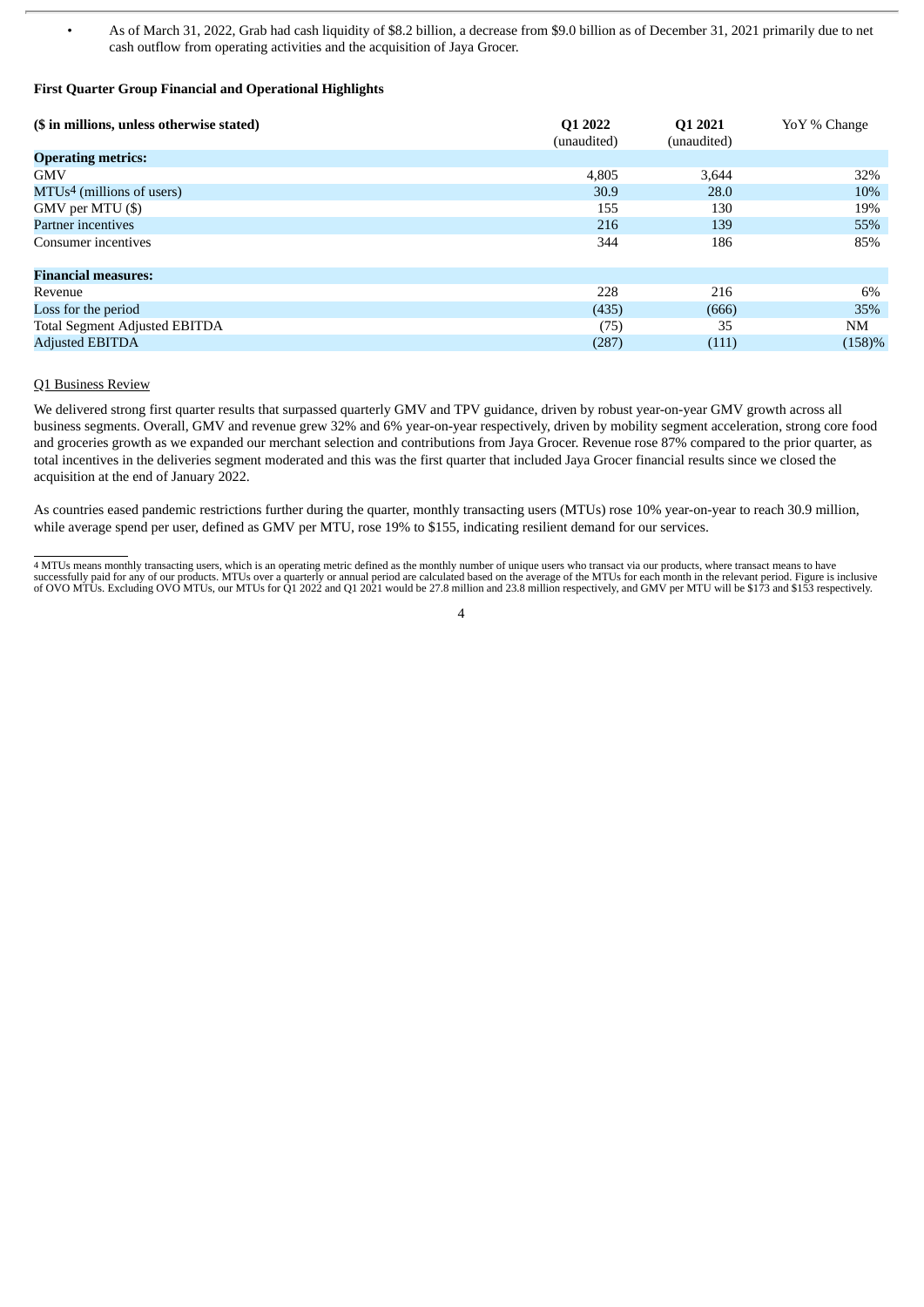• As of March 31, 2022, Grab had cash liquidity of \$8.2 billion, a decrease from \$9.0 billion as of December 31, 2021 primarily due to net cash outflow from operating activities and the acquisition of Jaya Grocer.

# **First Quarter Group Financial and Operational Highlights**

| (\$ in millions, unless otherwise stated) | Q1 2022<br>(unaudited) | Q1 2021<br>(unaudited) | YoY % Change |
|-------------------------------------------|------------------------|------------------------|--------------|
| <b>Operating metrics:</b>                 |                        |                        |              |
| <b>GMV</b>                                | 4.805                  | 3.644                  | 32%          |
| MTUs <sup>4</sup> (millions of users)     | 30.9                   | 28.0                   | 10%          |
| GMV per MTU (\$)                          | 155                    | 130                    | 19%          |
| Partner incentives                        | 216                    | 139                    | 55%          |
| Consumer incentives                       | 344                    | 186                    | 85%          |
| <b>Financial measures:</b>                |                        |                        |              |
| Revenue                                   | 228                    | 216                    | 6%           |
| Loss for the period                       | (435)                  | (666)                  | 35%          |
| <b>Total Segment Adjusted EBITDA</b>      | (75)                   | 35                     | NM           |
| <b>Adjusted EBITDA</b>                    | (287)                  | (111)                  | (158)%       |

### Q1 Business Review

We delivered strong first quarter results that surpassed quarterly GMV and TPV guidance, driven by robust year-on-year GMV growth across all business segments. Overall, GMV and revenue grew 32% and 6% year-on-year respectively, driven by mobility segment acceleration, strong core food and groceries growth as we expanded our merchant selection and contributions from Jaya Grocer. Revenue rose 87% compared to the prior quarter, as total incentives in the deliveries segment moderated and this was the first quarter that included Jaya Grocer financial results since we closed the acquisition at the end of January 2022.

As countries eased pandemic restrictions further during the quarter, monthly transacting users (MTUs) rose 10% year-on-year to reach 30.9 million, while average spend per user, defined as GMV per MTU, rose 19% to \$155, indicating resilient demand for our services.

<sup>4</sup> MTUs means monthly transacting users, which is an operating metric defined as the monthly number of unique users who transact via our products, where transact means to have successfully paid for any of our products. MTUs over a quarterly or annual period are calculated based on the average of the MTUs for each month in the relevant period. Figure is inclusive<br>of OVO MTUs. Excluding OVO MTUs,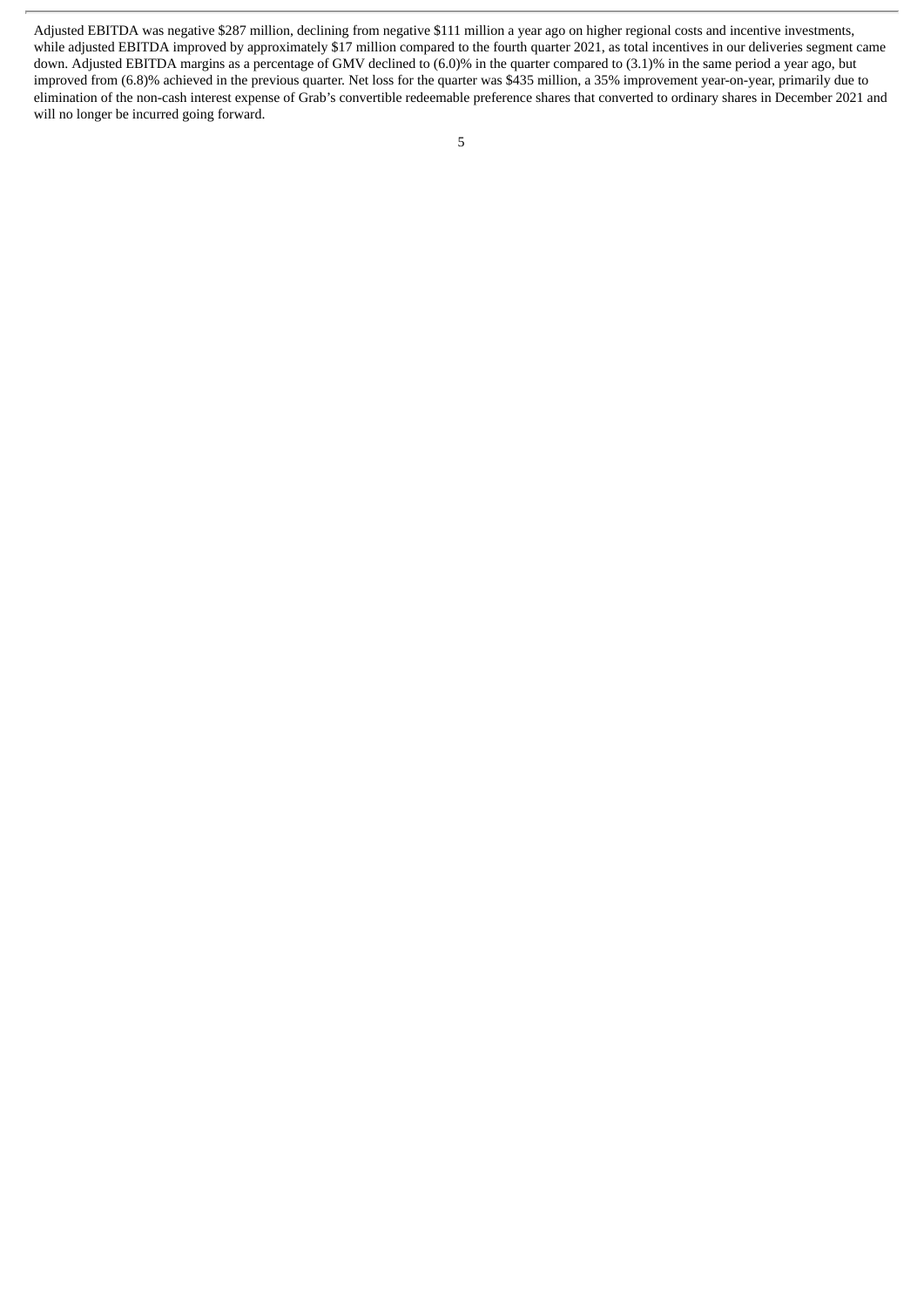Adjusted EBITDA was negative \$287 million, declining from negative \$111 million a year ago on higher regional costs and incentive investments, while adjusted EBITDA improved by approximately \$17 million compared to the fourth quarter 2021, as total incentives in our deliveries segment came down. Adjusted EBITDA margins as a percentage of GMV declined to (6.0)% in the quarter compared to (3.1)% in the same period a year ago, but improved from (6.8)% achieved in the previous quarter. Net loss for the quarter was \$435 million, a 35% improvement year-on-year, primarily due to elimination of the non-cash interest expense of Grab's convertible redeemable preference shares that converted to ordinary shares in December 2021 and will no longer be incurred going forward.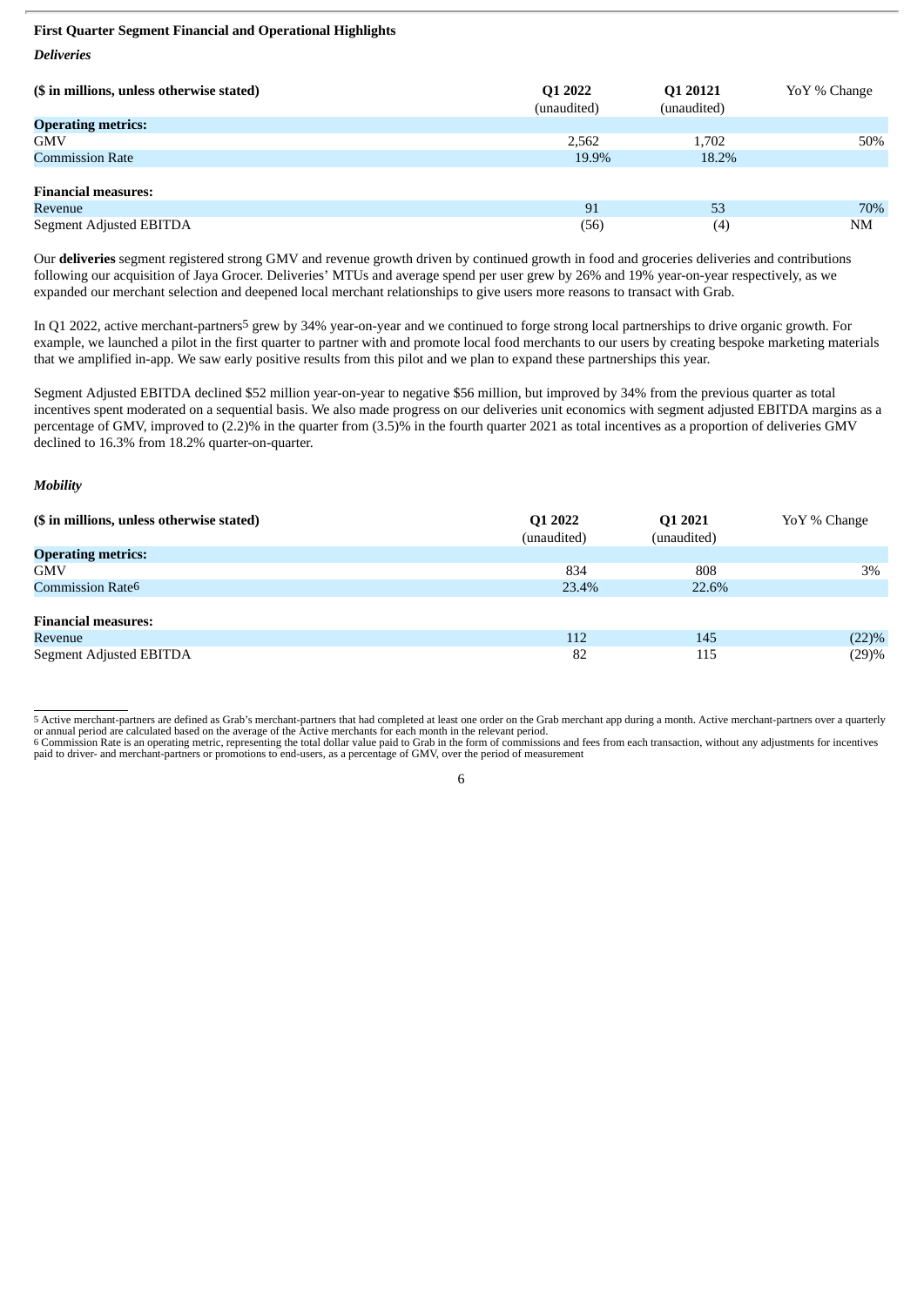### **First Quarter Segment Financial and Operational Highlights**

*Deliveries*

| (\$ in millions, unless otherwise stated) | Q1 2022<br>(unaudited) | Q1 20121<br>(unaudited) | YoY % Change |
|-------------------------------------------|------------------------|-------------------------|--------------|
| <b>Operating metrics:</b>                 |                        |                         |              |
| <b>GMV</b>                                | 2,562                  | 1,702                   | 50%          |
| <b>Commission Rate</b>                    | 19.9%                  | 18.2%                   |              |
|                                           |                        |                         |              |
| <b>Financial measures:</b>                |                        |                         |              |
| Revenue                                   | 91                     | 53                      | 70%          |
| Segment Adjusted EBITDA                   | (56)                   | (4)                     | NM           |

Our **deliveries** segment registered strong GMV and revenue growth driven by continued growth in food and groceries deliveries and contributions following our acquisition of Jaya Grocer. Deliveries' MTUs and average spend per user grew by 26% and 19% year-on-year respectively, as we expanded our merchant selection and deepened local merchant relationships to give users more reasons to transact with Grab.

In Q1 2022, active merchant-partners5 grew by 34% year-on-year and we continued to forge strong local partnerships to drive organic growth. For example, we launched a pilot in the first quarter to partner with and promote local food merchants to our users by creating bespoke marketing materials that we amplified in-app. We saw early positive results from this pilot and we plan to expand these partnerships this year.

Segment Adjusted EBITDA declined \$52 million year-on-year to negative \$56 million, but improved by 34% from the previous quarter as total incentives spent moderated on a sequential basis. We also made progress on our deliveries unit economics with segment adjusted EBITDA margins as a percentage of GMV, improved to (2.2)% in the quarter from (3.5)% in the fourth quarter 2021 as total incentives as a proportion of deliveries GMV declined to 16.3% from 18.2% quarter-on-quarter.

#### *Mobility*

| (\$ in millions, unless otherwise stated) | Q1 2022<br>(unaudited) | Q1 2021<br>(unaudited) | YoY % Change |
|-------------------------------------------|------------------------|------------------------|--------------|
| <b>Operating metrics:</b>                 |                        |                        |              |
| <b>GMV</b>                                | 834                    | 808                    | 3%           |
| Commission Rate <sup>6</sup>              | 23.4%                  | 22.6%                  |              |
|                                           |                        |                        |              |
| <b>Financial measures:</b>                |                        |                        |              |
| Revenue                                   | 112                    | 145                    | $(22)\%$     |
| Segment Adjusted EBITDA                   | 82                     | 115                    | (29)%        |

5 Active merchant-partners are defined as Grab's merchant-partners that had completed at least one order on the Grab merchant app during a month. Active merchant-partners over a quarterly or annual period are calculated ba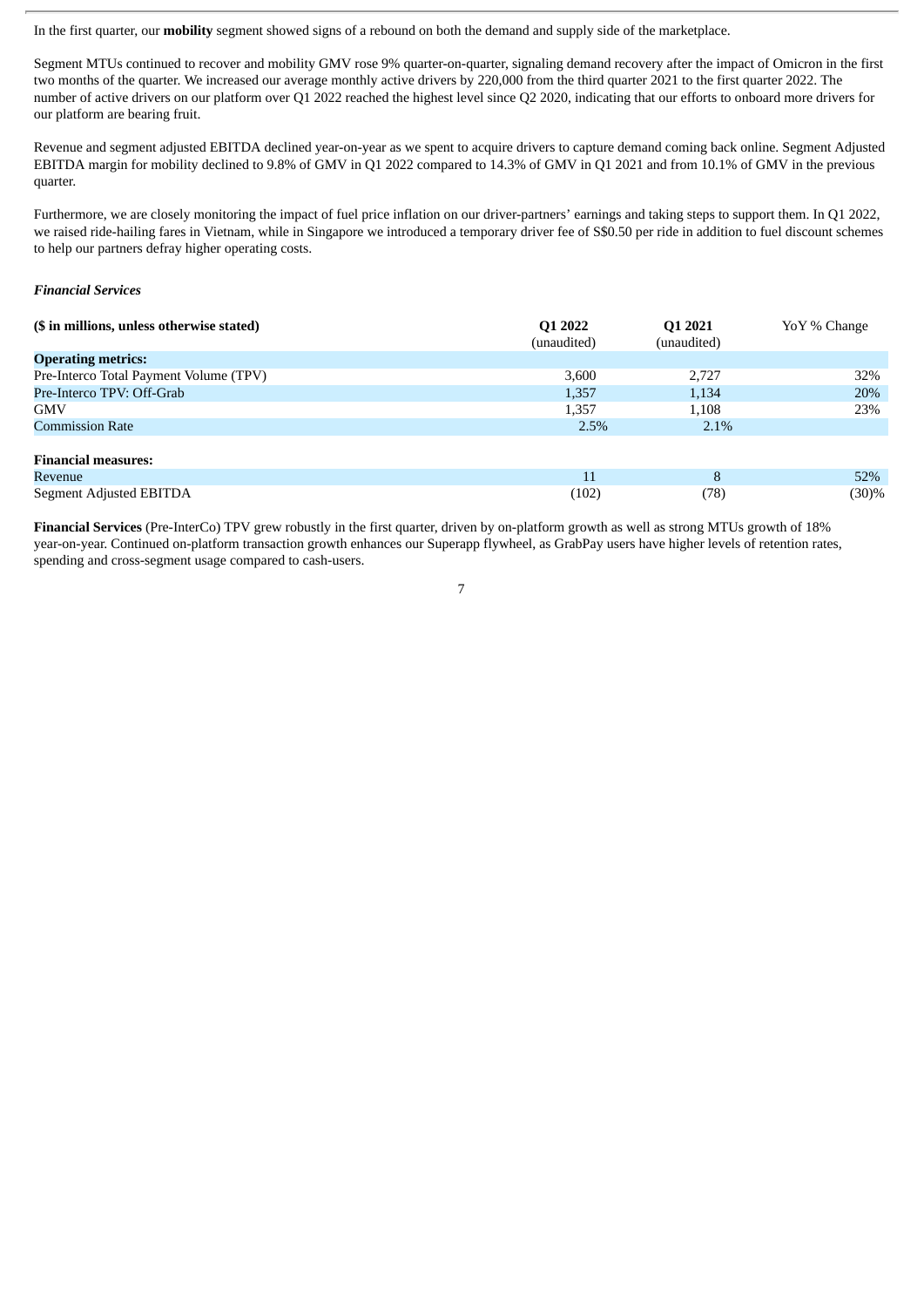In the first quarter, our **mobility** segment showed signs of a rebound on both the demand and supply side of the marketplace.

Segment MTUs continued to recover and mobility GMV rose 9% quarter-on-quarter, signaling demand recovery after the impact of Omicron in the first two months of the quarter. We increased our average monthly active drivers by 220,000 from the third quarter 2021 to the first quarter 2022. The number of active drivers on our platform over Q1 2022 reached the highest level since Q2 2020, indicating that our efforts to onboard more drivers for our platform are bearing fruit.

Revenue and segment adjusted EBITDA declined year-on-year as we spent to acquire drivers to capture demand coming back online. Segment Adjusted EBITDA margin for mobility declined to 9.8% of GMV in Q1 2022 compared to 14.3% of GMV in Q1 2021 and from 10.1% of GMV in the previous quarter.

Furthermore, we are closely monitoring the impact of fuel price inflation on our driver-partners' earnings and taking steps to support them. In Q1 2022, we raised ride-hailing fares in Vietnam, while in Singapore we introduced a temporary driver fee of S\$0.50 per ride in addition to fuel discount schemes to help our partners defray higher operating costs.

#### *Financial Services*

| (\$ in millions, unless otherwise stated) | Q1 2022<br>(unaudited) | Q1 2021<br>(unaudited) | YoY % Change |
|-------------------------------------------|------------------------|------------------------|--------------|
| <b>Operating metrics:</b>                 |                        |                        |              |
| Pre-Interco Total Payment Volume (TPV)    | 3,600                  | 2,727                  | 32%          |
| Pre-Interco TPV: Off-Grab                 | 1,357                  | 1,134                  | 20%          |
| <b>GMV</b>                                | 1,357                  | 1,108                  | 23%          |
| <b>Commission Rate</b>                    | 2.5%                   | 2.1%                   |              |
| <b>Financial measures:</b>                |                        |                        |              |
| Revenue                                   | 11                     | 8                      | 52%          |
| Segment Adjusted EBITDA                   | (102)                  | (78)                   | (30)%        |

**Financial Services** (Pre-InterCo) TPV grew robustly in the first quarter, driven by on-platform growth as well as strong MTUs growth of 18% year-on-year. Continued on-platform transaction growth enhances our Superapp flywheel, as GrabPay users have higher levels of retention rates, spending and cross-segment usage compared to cash-users.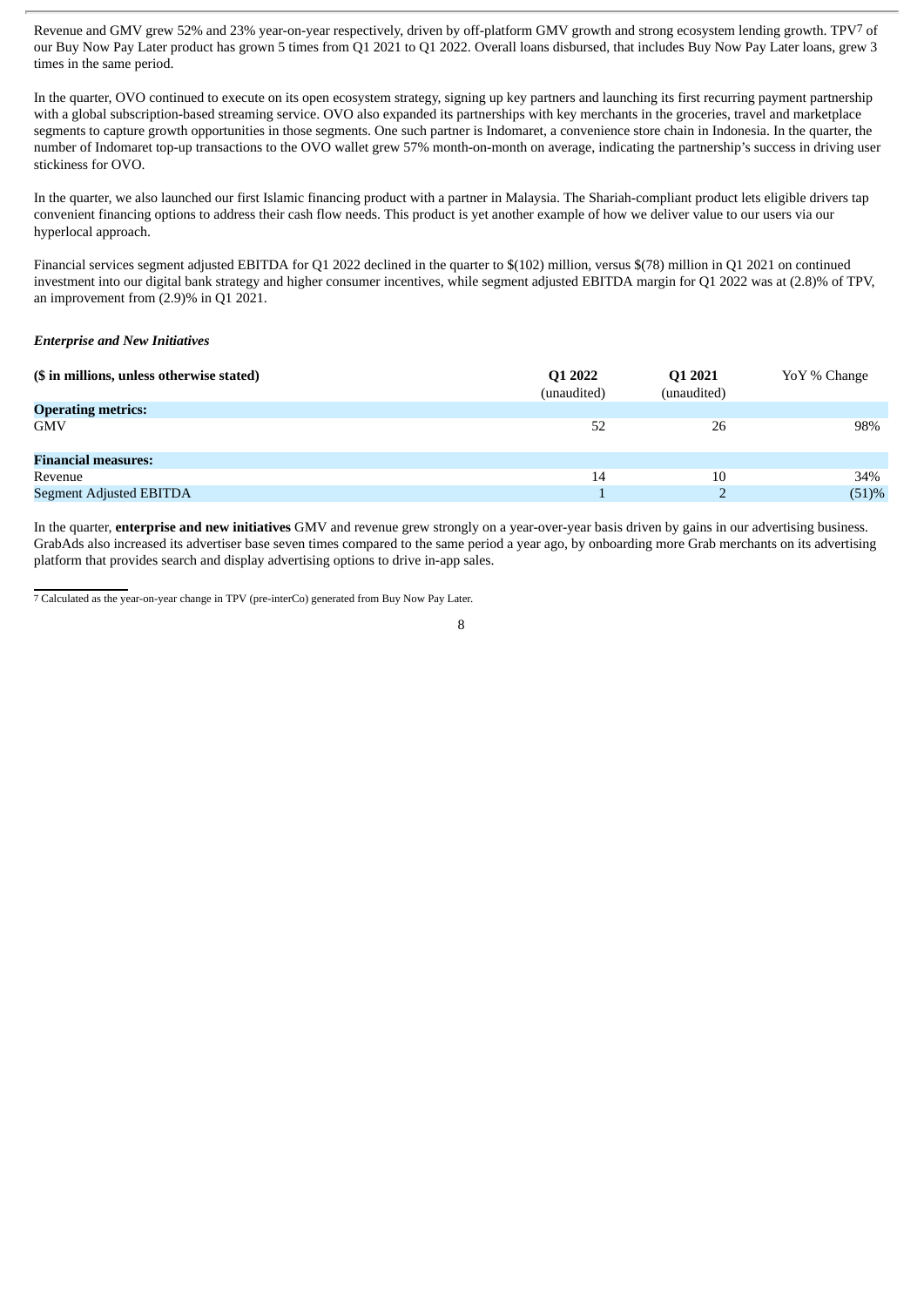Revenue and GMV grew 52% and 23% year-on-year respectively, driven by off-platform GMV growth and strong ecosystem lending growth. TPV7 of our Buy Now Pay Later product has grown 5 times from Q1 2021 to Q1 2022. Overall loans disbursed, that includes Buy Now Pay Later loans, grew 3 times in the same period.

In the quarter, OVO continued to execute on its open ecosystem strategy, signing up key partners and launching its first recurring payment partnership with a global subscription-based streaming service. OVO also expanded its partnerships with key merchants in the groceries, travel and marketplace segments to capture growth opportunities in those segments. One such partner is Indomaret, a convenience store chain in Indonesia. In the quarter, the number of Indomaret top-up transactions to the OVO wallet grew 57% month-on-month on average, indicating the partnership's success in driving user stickiness for OVO.

In the quarter, we also launched our first Islamic financing product with a partner in Malaysia. The Shariah-compliant product lets eligible drivers tap convenient financing options to address their cash flow needs. This product is yet another example of how we deliver value to our users via our hyperlocal approach.

Financial services segment adjusted EBITDA for Q1 2022 declined in the quarter to \$(102) million, versus \$(78) million in Q1 2021 on continued investment into our digital bank strategy and higher consumer incentives, while segment adjusted EBITDA margin for Q1 2022 was at (2.8)% of TPV, an improvement from (2.9)% in Q1 2021.

#### *Enterprise and New Initiatives*

| (\$ in millions, unless otherwise stated) | Q1 2022<br>(unaudited) | Q1 2021<br>(unaudited) | YoY % Change |
|-------------------------------------------|------------------------|------------------------|--------------|
| <b>Operating metrics:</b>                 |                        |                        |              |
| <b>GMV</b>                                | 52                     | 26                     | 98%          |
| <b>Financial measures:</b>                |                        |                        |              |
| Revenue                                   | 14                     | 10                     | 34%          |
| Segment Adjusted EBITDA                   |                        |                        | (51)%        |

In the quarter, **enterprise and new initiatives** GMV and revenue grew strongly on a year-over-year basis driven by gains in our advertising business. GrabAds also increased its advertiser base seven times compared to the same period a year ago, by onboarding more Grab merchants on its advertising platform that provides search and display advertising options to drive in-app sales.

7 Calculated as the year-on-year change in TPV (pre-interCo) generated from Buy Now Pay Later.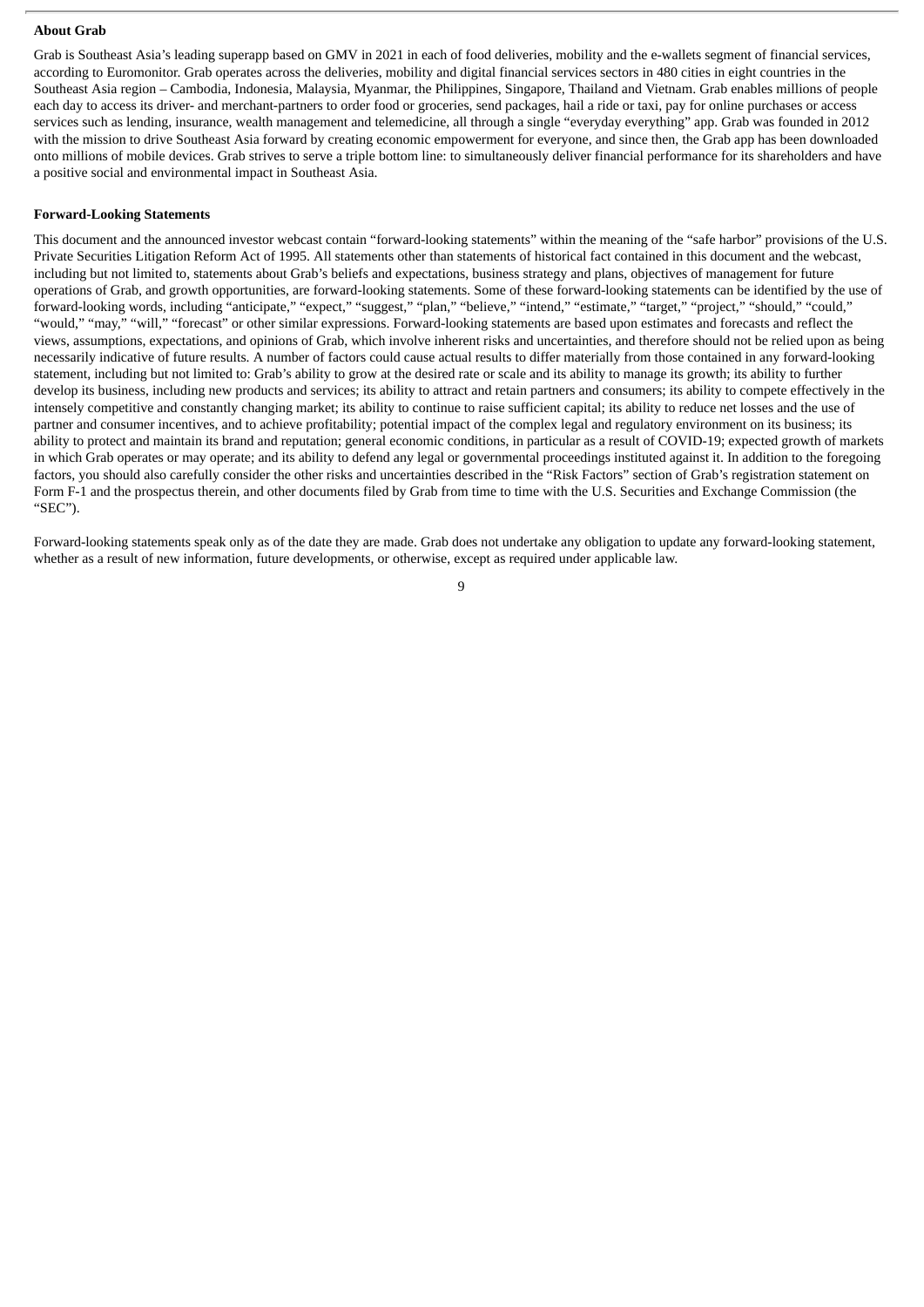#### **About Grab**

Grab is Southeast Asia's leading superapp based on GMV in 2021 in each of food deliveries, mobility and the e-wallets segment of financial services, according to Euromonitor. Grab operates across the deliveries, mobility and digital financial services sectors in 480 cities in eight countries in the Southeast Asia region – Cambodia, Indonesia, Malaysia, Myanmar, the Philippines, Singapore, Thailand and Vietnam. Grab enables millions of people each day to access its driver- and merchant-partners to order food or groceries, send packages, hail a ride or taxi, pay for online purchases or access services such as lending, insurance, wealth management and telemedicine, all through a single "everyday everything" app. Grab was founded in 2012 with the mission to drive Southeast Asia forward by creating economic empowerment for everyone, and since then, the Grab app has been downloaded onto millions of mobile devices. Grab strives to serve a triple bottom line: to simultaneously deliver financial performance for its shareholders and have a positive social and environmental impact in Southeast Asia.

## **Forward-Looking Statements**

This document and the announced investor webcast contain "forward-looking statements" within the meaning of the "safe harbor" provisions of the U.S. Private Securities Litigation Reform Act of 1995. All statements other than statements of historical fact contained in this document and the webcast, including but not limited to, statements about Grab's beliefs and expectations, business strategy and plans, objectives of management for future operations of Grab, and growth opportunities, are forward-looking statements. Some of these forward-looking statements can be identified by the use of forward-looking words, including "anticipate," "expect," "suggest," "plan," "believe," "intend," "estimate," "target," "project," "should," "could," "would," "may," "will," "forecast" or other similar expressions. Forward-looking statements are based upon estimates and forecasts and reflect the views, assumptions, expectations, and opinions of Grab, which involve inherent risks and uncertainties, and therefore should not be relied upon as being necessarily indicative of future results. A number of factors could cause actual results to differ materially from those contained in any forward-looking statement, including but not limited to: Grab's ability to grow at the desired rate or scale and its ability to manage its growth; its ability to further develop its business, including new products and services; its ability to attract and retain partners and consumers; its ability to compete effectively in the intensely competitive and constantly changing market; its ability to continue to raise sufficient capital; its ability to reduce net losses and the use of partner and consumer incentives, and to achieve profitability; potential impact of the complex legal and regulatory environment on its business; its ability to protect and maintain its brand and reputation; general economic conditions, in particular as a result of COVID-19; expected growth of markets in which Grab operates or may operate; and its ability to defend any legal or governmental proceedings instituted against it. In addition to the foregoing factors, you should also carefully consider the other risks and uncertainties described in the "Risk Factors" section of Grab's registration statement on Form F-1 and the prospectus therein, and other documents filed by Grab from time to time with the U.S. Securities and Exchange Commission (the "SEC").

Forward-looking statements speak only as of the date they are made. Grab does not undertake any obligation to update any forward-looking statement, whether as a result of new information, future developments, or otherwise, except as required under applicable law.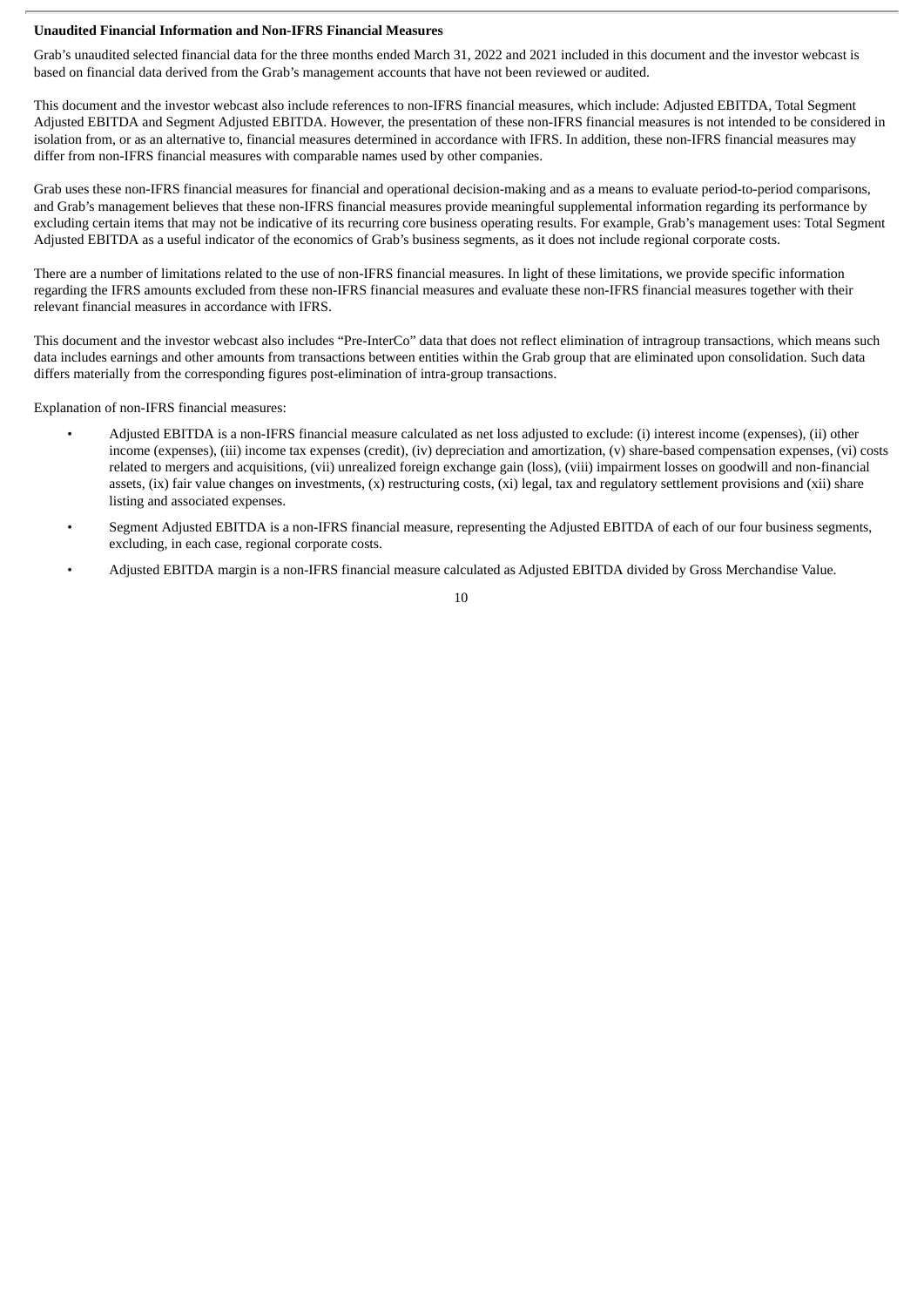### **Unaudited Financial Information and Non-IFRS Financial Measures**

Grab's unaudited selected financial data for the three months ended March 31, 2022 and 2021 included in this document and the investor webcast is based on financial data derived from the Grab's management accounts that have not been reviewed or audited.

This document and the investor webcast also include references to non-IFRS financial measures, which include: Adjusted EBITDA, Total Segment Adjusted EBITDA and Segment Adjusted EBITDA. However, the presentation of these non-IFRS financial measures is not intended to be considered in isolation from, or as an alternative to, financial measures determined in accordance with IFRS. In addition, these non-IFRS financial measures may differ from non-IFRS financial measures with comparable names used by other companies.

Grab uses these non-IFRS financial measures for financial and operational decision-making and as a means to evaluate period-to-period comparisons, and Grab's management believes that these non-IFRS financial measures provide meaningful supplemental information regarding its performance by excluding certain items that may not be indicative of its recurring core business operating results. For example, Grab's management uses: Total Segment Adjusted EBITDA as a useful indicator of the economics of Grab's business segments, as it does not include regional corporate costs.

There are a number of limitations related to the use of non-IFRS financial measures. In light of these limitations, we provide specific information regarding the IFRS amounts excluded from these non-IFRS financial measures and evaluate these non-IFRS financial measures together with their relevant financial measures in accordance with IFRS.

This document and the investor webcast also includes "Pre-InterCo" data that does not reflect elimination of intragroup transactions, which means such data includes earnings and other amounts from transactions between entities within the Grab group that are eliminated upon consolidation. Such data differs materially from the corresponding figures post-elimination of intra-group transactions.

Explanation of non-IFRS financial measures:

- Adjusted EBITDA is a non-IFRS financial measure calculated as net loss adjusted to exclude: (i) interest income (expenses), (ii) other income (expenses), (iii) income tax expenses (credit), (iv) depreciation and amortization, (v) share-based compensation expenses, (vi) costs related to mergers and acquisitions, (vii) unrealized foreign exchange gain (loss), (viii) impairment losses on goodwill and non-financial assets, (ix) fair value changes on investments, (x) restructuring costs, (xi) legal, tax and regulatory settlement provisions and (xii) share listing and associated expenses.
- Segment Adjusted EBITDA is a non-IFRS financial measure, representing the Adjusted EBITDA of each of our four business segments, excluding, in each case, regional corporate costs.
- Adjusted EBITDA margin is a non-IFRS financial measure calculated as Adjusted EBITDA divided by Gross Merchandise Value.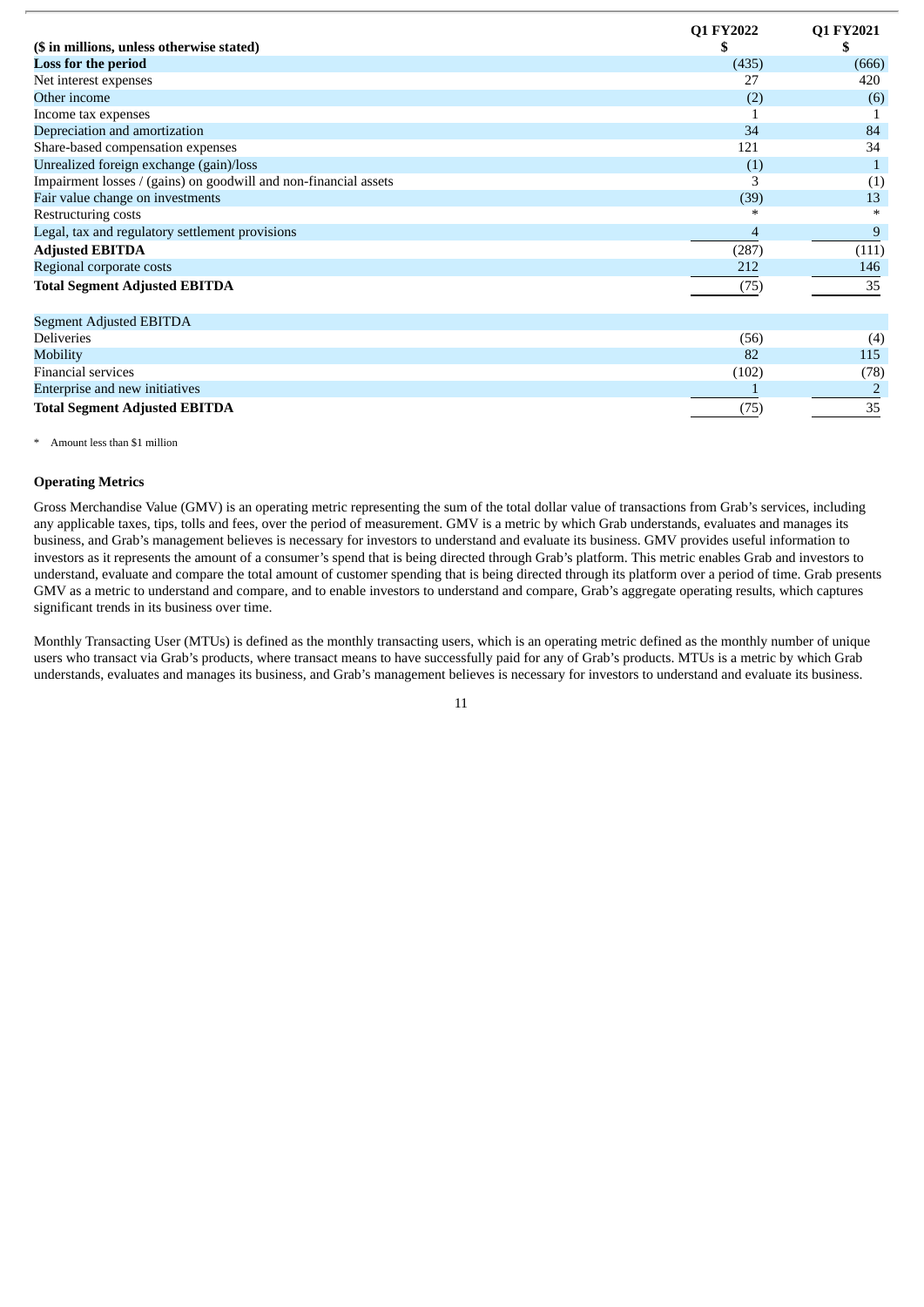| (\$ in millions, unless otherwise stated)                        | Q1 FY2022<br>\$ | Q1 FY2021<br>J. |
|------------------------------------------------------------------|-----------------|-----------------|
| Loss for the period                                              | (435)           | (666)           |
| Net interest expenses                                            | 27              | 420             |
| Other income                                                     | (2)             | (6)             |
| Income tax expenses                                              |                 |                 |
| Depreciation and amortization                                    | 34              | 84              |
| Share-based compensation expenses                                | 121             | 34              |
| Unrealized foreign exchange (gain)/loss                          | (1)             | $\mathbf 1$     |
| Impairment losses / (gains) on goodwill and non-financial assets | З               | (1)             |
| Fair value change on investments                                 | (39)            | 13              |
| Restructuring costs                                              | $\ast$          | $\ast$          |
| Legal, tax and regulatory settlement provisions                  | 4               | 9               |
| <b>Adjusted EBITDA</b>                                           | (287)           | (111)           |
| Regional corporate costs                                         | 212             | 146             |
| <b>Total Segment Adjusted EBITDA</b>                             | (75)            | 35              |
| Segment Adjusted EBITDA                                          |                 |                 |
| <b>Deliveries</b>                                                | (56)            | (4)             |
| Mobility                                                         | 82              | 115             |
| Financial services                                               | (102)           | (78)            |
| Enterprise and new initiatives                                   |                 |                 |
| <b>Total Segment Adjusted EBITDA</b>                             | (75)            | 35              |

#### \* Amount less than \$1 million

#### **Operating Metrics**

Gross Merchandise Value (GMV) is an operating metric representing the sum of the total dollar value of transactions from Grab's services, including any applicable taxes, tips, tolls and fees, over the period of measurement. GMV is a metric by which Grab understands, evaluates and manages its business, and Grab's management believes is necessary for investors to understand and evaluate its business. GMV provides useful information to investors as it represents the amount of a consumer's spend that is being directed through Grab's platform. This metric enables Grab and investors to understand, evaluate and compare the total amount of customer spending that is being directed through its platform over a period of time. Grab presents GMV as a metric to understand and compare, and to enable investors to understand and compare, Grab's aggregate operating results, which captures significant trends in its business over time.

Monthly Transacting User (MTUs) is defined as the monthly transacting users, which is an operating metric defined as the monthly number of unique users who transact via Grab's products, where transact means to have successfully paid for any of Grab's products. MTUs is a metric by which Grab understands, evaluates and manages its business, and Grab's management believes is necessary for investors to understand and evaluate its business.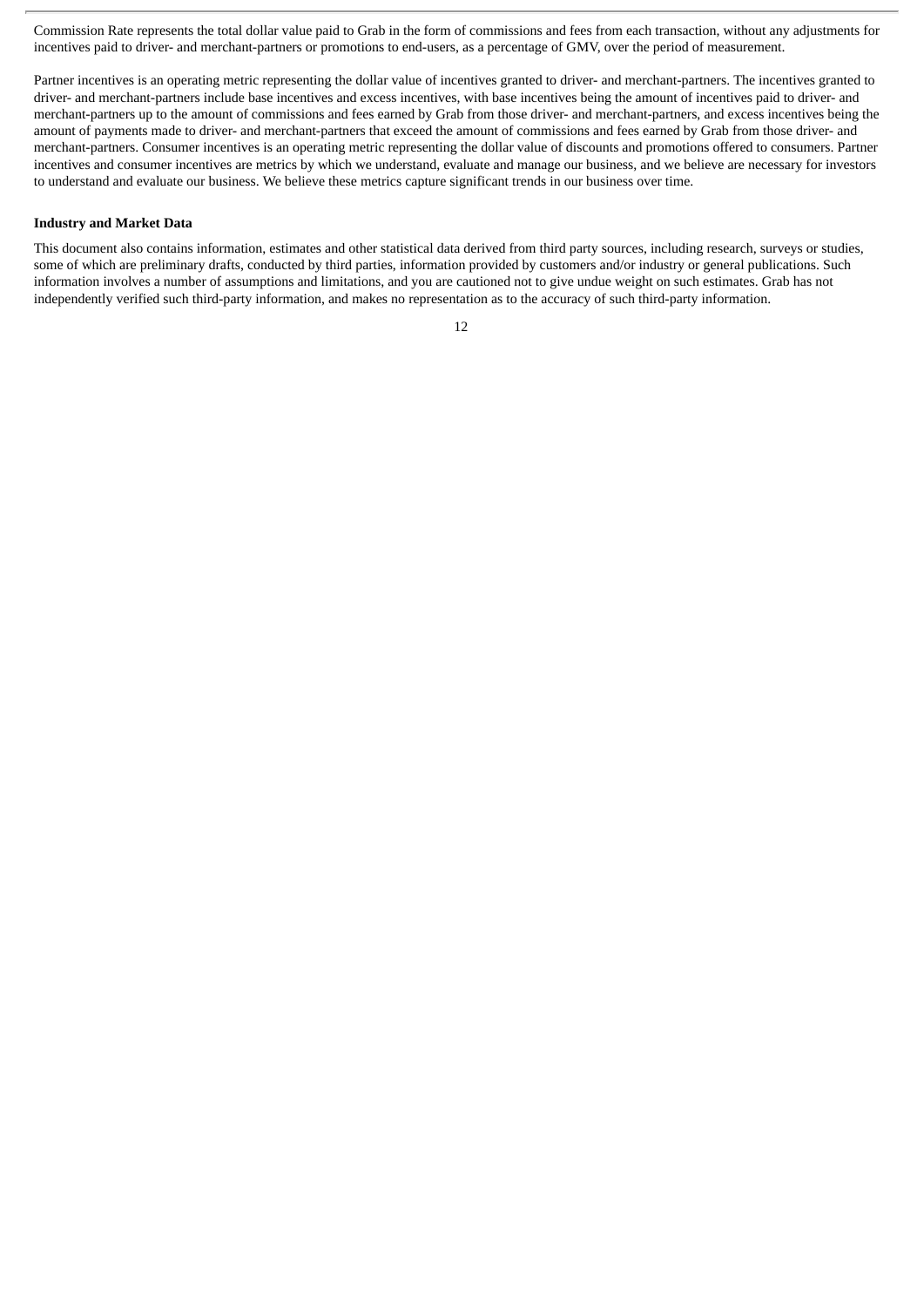Commission Rate represents the total dollar value paid to Grab in the form of commissions and fees from each transaction, without any adjustments for incentives paid to driver- and merchant-partners or promotions to end-users, as a percentage of GMV, over the period of measurement.

Partner incentives is an operating metric representing the dollar value of incentives granted to driver- and merchant-partners. The incentives granted to driver- and merchant-partners include base incentives and excess incentives, with base incentives being the amount of incentives paid to driver- and merchant-partners up to the amount of commissions and fees earned by Grab from those driver- and merchant-partners, and excess incentives being the amount of payments made to driver- and merchant-partners that exceed the amount of commissions and fees earned by Grab from those driver- and merchant-partners. Consumer incentives is an operating metric representing the dollar value of discounts and promotions offered to consumers. Partner incentives and consumer incentives are metrics by which we understand, evaluate and manage our business, and we believe are necessary for investors to understand and evaluate our business. We believe these metrics capture significant trends in our business over time.

#### **Industry and Market Data**

This document also contains information, estimates and other statistical data derived from third party sources, including research, surveys or studies, some of which are preliminary drafts, conducted by third parties, information provided by customers and/or industry or general publications. Such information involves a number of assumptions and limitations, and you are cautioned not to give undue weight on such estimates. Grab has not independently verified such third-party information, and makes no representation as to the accuracy of such third-party information.

<sup>12</sup>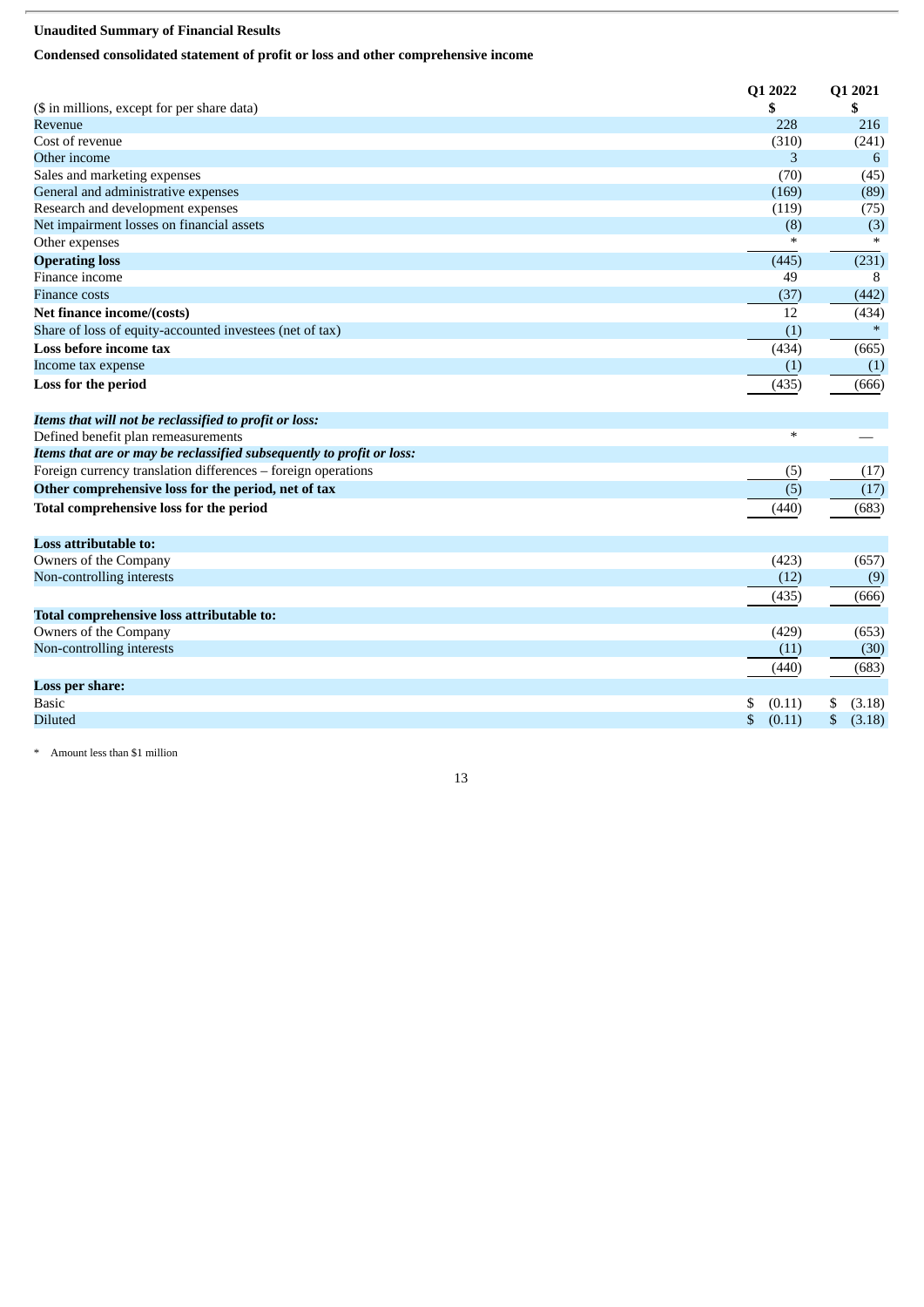# **Unaudited Summary of Financial Results**

# **Condensed consolidated statement of profit or loss and other comprehensive income**

| (\$ in millions, except for per share data)                           | Q1 2022<br>\$ | Q1 2021<br>S |
|-----------------------------------------------------------------------|---------------|--------------|
| Revenue                                                               | 228           | 216          |
| Cost of revenue                                                       | (310)         | (241)        |
| Other income                                                          | 3             | 6            |
| Sales and marketing expenses                                          | (70)          | (45)         |
| General and administrative expenses                                   | (169)         | (89)         |
| Research and development expenses                                     | (119)         | (75)         |
| Net impairment losses on financial assets                             | (8)           | (3)          |
| Other expenses                                                        | ∗             | $\ast$       |
| <b>Operating loss</b>                                                 | (445)         | (231)        |
| Finance income                                                        | 49            | 8            |
| <b>Finance costs</b>                                                  | (37)          | (442)        |
| Net finance income/(costs)                                            | 12            | (434)        |
| Share of loss of equity-accounted investees (net of tax)              | (1)           | $\ast$       |
| Loss before income tax                                                | (434)         | (665)        |
| Income tax expense                                                    | (1)           | (1)          |
| Loss for the period                                                   | (435)         | (666)        |
| Items that will not be reclassified to profit or loss:                |               |              |
| Defined benefit plan remeasurements                                   | $\ast$        |              |
| Items that are or may be reclassified subsequently to profit or loss: |               |              |
| Foreign currency translation differences - foreign operations         | (5)           | (17)         |
| Other comprehensive loss for the period, net of tax                   | (5)           | (17)         |
| Total comprehensive loss for the period                               | (440)         | (683)        |
| <b>Loss attributable to:</b>                                          |               |              |
| Owners of the Company                                                 | (423)         | (657)        |
| Non-controlling interests                                             | (12)          | (9)          |
|                                                                       | (435)         | (666)        |
| Total comprehensive loss attributable to:                             |               |              |
| Owners of the Company                                                 | (429)         | (653)        |
| Non-controlling interests                                             | (11)          | (30)         |
|                                                                       | (440)         | (683)        |
| <b>Loss per share:</b>                                                |               |              |

\* Amount less than \$1 million

13

Basic 5 (0.11) \$ (3.18)  $\rm{Diluted} \hspace{1.5cm} \$ \hspace{1.5cm} (0.11) \hspace{1.5cm} \$ \hspace{1.5cm} (3.18)$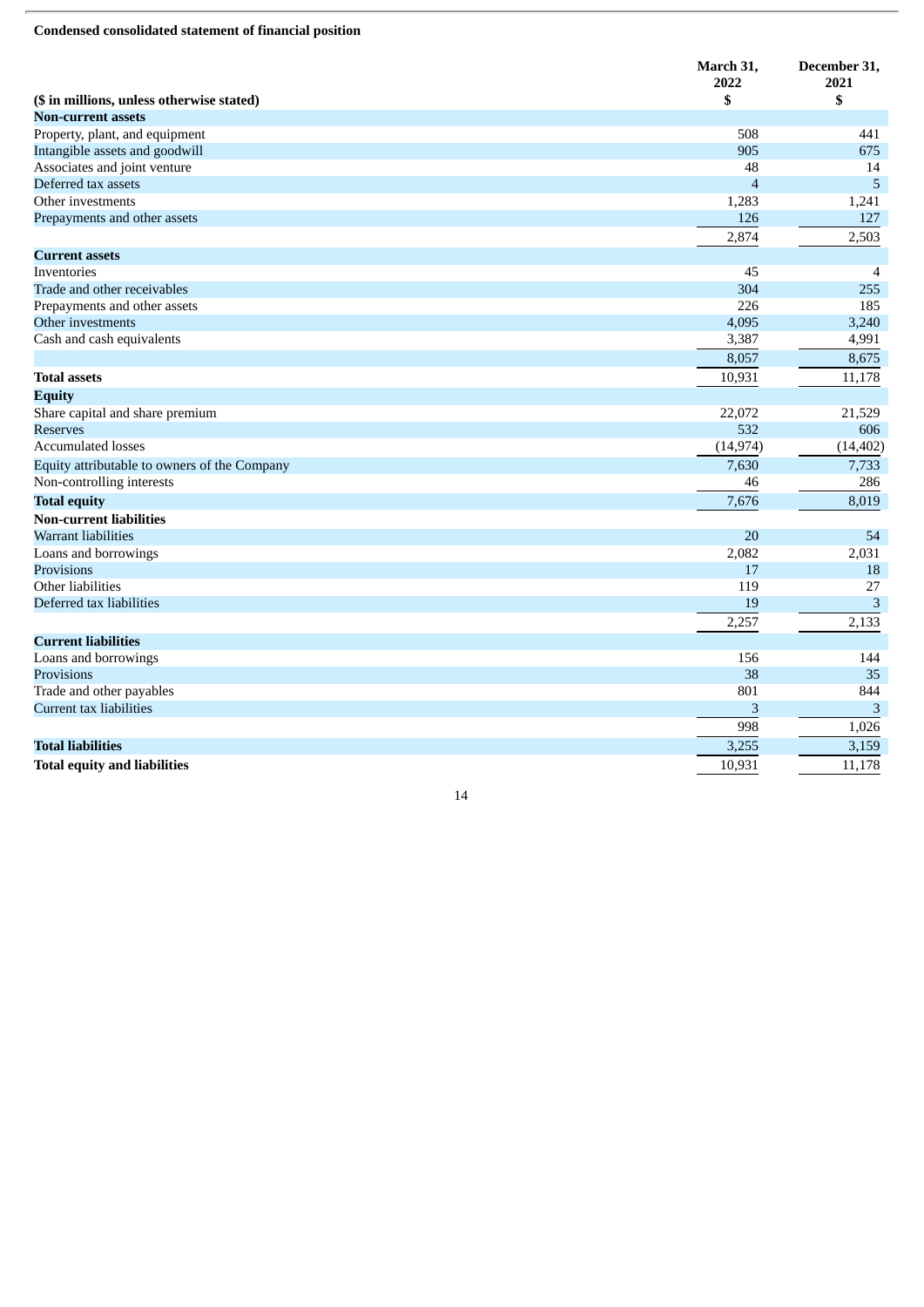#### **Condensed consolidated statement of financial position**

|                                              | March 31,<br>2022 | December 31,<br>2021 |
|----------------------------------------------|-------------------|----------------------|
| (\$ in millions, unless otherwise stated)    | \$                | \$                   |
| <b>Non-current assets</b>                    |                   |                      |
| Property, plant, and equipment               | 508               | 441                  |
| Intangible assets and goodwill               | 905               | 675                  |
| Associates and joint venture                 | 48                | 14                   |
| Deferred tax assets                          | $\overline{4}$    | 5                    |
| Other investments                            | 1,283             | 1,241                |
| Prepayments and other assets                 | 126               | 127                  |
|                                              | 2,874             | 2,503                |
| <b>Current assets</b>                        |                   |                      |
| Inventories                                  | 45                | $\overline{4}$       |
| Trade and other receivables                  | 304               | 255                  |
| Prepayments and other assets                 | 226               | 185                  |
| Other investments                            | 4,095             | 3,240                |
| Cash and cash equivalents                    | 3,387             | 4,991                |
|                                              | 8,057             | 8,675                |
| <b>Total assets</b>                          | 10,931            | 11,178               |
| <b>Equity</b>                                |                   |                      |
| Share capital and share premium              | 22,072            | 21,529               |
| <b>Reserves</b>                              | 532               | 606                  |
| <b>Accumulated losses</b>                    | (14, 974)         | (14, 402)            |
| Equity attributable to owners of the Company | 7,630             | 7,733                |
| Non-controlling interests                    | 46                | 286                  |
| <b>Total equity</b>                          | 7,676             | 8,019                |
| <b>Non-current liabilities</b>               |                   |                      |
| Warrant liabilities                          | 20                | 54                   |
| Loans and borrowings                         | 2,082             | 2,031                |
| Provisions                                   | 17                | 18                   |
| Other liabilities                            | 119               | 27                   |
| Deferred tax liabilities                     | 19                | 3                    |
|                                              | 2,257             | 2,133                |
| <b>Current liabilities</b>                   |                   |                      |
| Loans and borrowings                         | 156               | 144                  |
| Provisions                                   | 38                | 35                   |
| Trade and other payables                     | 801               | 844                  |
| Current tax liabilities                      | 3                 | 3                    |
|                                              | 998               | 1,026                |
| <b>Total liabilities</b>                     | 3,255             | 3,159                |
| <b>Total equity and liabilities</b>          | 10,931            | 11,178               |
|                                              |                   |                      |